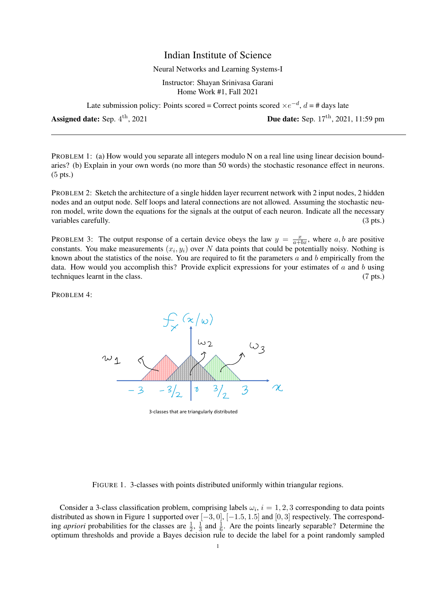## Indian Institute of Science

## Neural Networks and Learning Systems-I

Instructor: Shayan Srinivasa Garani Home Work #1, Fall 2021

Late submission policy: Points scored = Correct points scored  $\times e^{-d}$ ,  $d = \#$  days late

Assigned date: Sep. 4<sup>th</sup>, 2021

Due date: Sep. 17<sup>th</sup>, 2021, 11:59 pm

PROBLEM 1: (a) How would you separate all integers modulo N on a real line using linear decision boundaries? (b) Explain in your own words (no more than 50 words) the stochastic resonance effect in neurons. (5 pts.)

PROBLEM 2: Sketch the architecture of a single hidden layer recurrent network with 2 input nodes, 2 hidden nodes and an output node. Self loops and lateral connections are not allowed. Assuming the stochastic neuron model, write down the equations for the signals at the output of each neuron. Indicate all the necessary variables carefully. (3 pts.) (3 pts.)

PROBLEM 3: The output response of a certain device obeys the law  $y = \frac{x}{a+bx}$ , where a, b are positive constants. You make measurements  $(x_i, y_i)$  over N data points that could be potentially noisy. Nothing is known about the statistics of the noise. You are required to fit the parameters  $a$  and  $b$  empirically from the data. How would you accomplish this? Provide explicit expressions for your estimates of  $a$  and  $b$  using techniques learnt in the class. (7 pts.)

PROBLEM 4:



3-classes that are triangularly distributed

Consider a 3-class classification problem, comprising labels  $\omega_i$ ,  $i = 1, 2, 3$  corresponding to data points distributed as shown in Figure 1 supported over [−3, 0], [−1.5, 1.5] and [0, 3] respectively. The corresponding *apriori* probabilities for the classes are  $\frac{1}{2}$ ,  $\frac{1}{3}$  $\frac{1}{3}$  and  $\frac{1}{6}$ . Are the points linearly separable? Determine the optimum thresholds and provide a Bayes decision rule to decide the label for a point randomly sampled

FIGURE 1. 3-classes with points distributed uniformly within triangular regions.